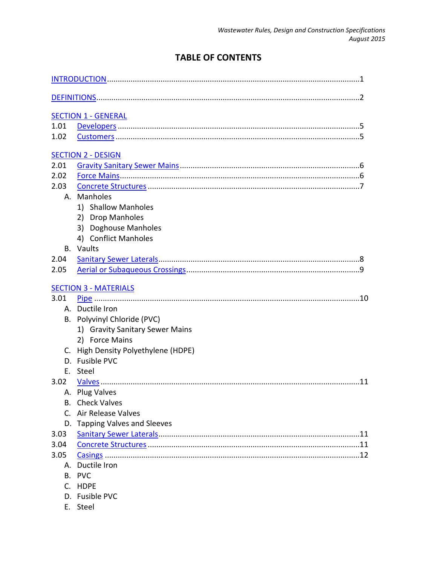# **TABLE OF CONTENTS**

|             | <b>SECTION 1 - GENERAL</b>                                                                                                                                                                                                     |
|-------------|--------------------------------------------------------------------------------------------------------------------------------------------------------------------------------------------------------------------------------|
| 1.01        |                                                                                                                                                                                                                                |
| 1.02        |                                                                                                                                                                                                                                |
|             | <b>SECTION 2 - DESIGN</b>                                                                                                                                                                                                      |
| 2.01        |                                                                                                                                                                                                                                |
| 2.02        |                                                                                                                                                                                                                                |
| 2.03        |                                                                                                                                                                                                                                |
|             | A. Manholes                                                                                                                                                                                                                    |
|             | 1) Shallow Manholes                                                                                                                                                                                                            |
|             | 2) Drop Manholes                                                                                                                                                                                                               |
|             | 3) Doghouse Manholes                                                                                                                                                                                                           |
|             | 4) Conflict Manholes                                                                                                                                                                                                           |
|             | <b>B.</b> Vaults                                                                                                                                                                                                               |
| 2.04        |                                                                                                                                                                                                                                |
| 2.05        |                                                                                                                                                                                                                                |
|             | <b>SECTION 3 - MATERIALS</b>                                                                                                                                                                                                   |
| 3.01        |                                                                                                                                                                                                                                |
|             | A. Ductile Iron                                                                                                                                                                                                                |
|             | B. Polyvinyl Chloride (PVC)                                                                                                                                                                                                    |
|             | 1) Gravity Sanitary Sewer Mains                                                                                                                                                                                                |
|             | 2) Force Mains                                                                                                                                                                                                                 |
| C.          | High Density Polyethylene (HDPE)                                                                                                                                                                                               |
|             | D. Fusible PVC                                                                                                                                                                                                                 |
| Ε.          | Steel                                                                                                                                                                                                                          |
| 3.02        |                                                                                                                                                                                                                                |
|             | A. Plug Valves and the contract of the contract of the contract of the contract of the contract of the contract of the contract of the contract of the contract of the contract of the contract of the contract of the contrac |
|             | <b>B.</b> Check Valves                                                                                                                                                                                                         |
| $C_{\cdot}$ | Air Release Valves                                                                                                                                                                                                             |
|             | D. Tapping Valves and Sleeves                                                                                                                                                                                                  |
| 3.03        |                                                                                                                                                                                                                                |
| 3.04        |                                                                                                                                                                                                                                |
| 3.05        |                                                                                                                                                                                                                                |
|             | A. Ductile Iron                                                                                                                                                                                                                |
| В.          | <b>PVC</b>                                                                                                                                                                                                                     |
|             | C. HDPE                                                                                                                                                                                                                        |
|             | D. Fusible PVC                                                                                                                                                                                                                 |

E. Steel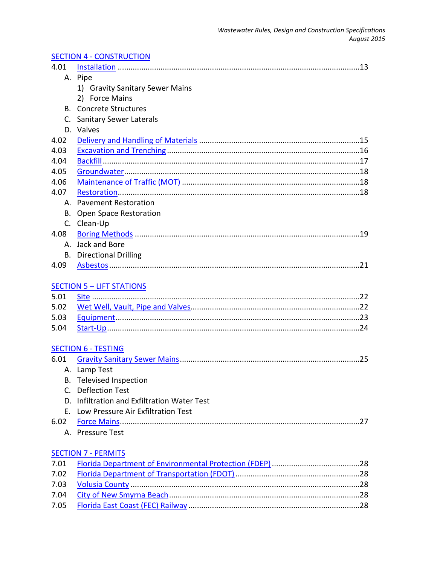|--|

|             | A. Pipe                                     |
|-------------|---------------------------------------------|
|             | 1) Gravity Sanitary Sewer Mains             |
|             | 2) Force Mains                              |
|             | <b>B.</b> Concrete Structures               |
| $C_{1}$     | <b>Sanitary Sewer Laterals</b>              |
|             | D. Valves                                   |
| 4.02        |                                             |
| 4.03        |                                             |
| 4.04        |                                             |
| 4.05        |                                             |
| 4.06        |                                             |
| 4.07        |                                             |
|             | A. Pavement Restoration                     |
| В.          | <b>Open Space Restoration</b>               |
|             | C. Clean-Up                                 |
| 4.08        |                                             |
|             | A. Jack and Bore                            |
|             | <b>B.</b> Directional Drilling              |
| 4.09        |                                             |
|             |                                             |
|             | <b>SECTION 5 - LIFT STATIONS</b>            |
| 5.01        |                                             |
| 5.02        |                                             |
| 5.03        |                                             |
| 5.04        |                                             |
|             |                                             |
|             | <b>SECTION 6 - TESTING</b>                  |
| 6.01        |                                             |
|             | A. Lamp Test                                |
|             | B. Televised Inspection                     |
| $C_{\cdot}$ | <b>Deflection Test</b>                      |
|             | D. Infiltration and Exfiltration Water Test |
| Е.          | Low Pressure Air Exfiltration Test          |
| 6.02        |                                             |
|             | A. Pressure Test                            |
|             |                                             |
|             | <b>SECTION 7 - PERMITS</b>                  |
| 7.01        |                                             |
| 7.02        |                                             |
| 7.03        |                                             |
| 7.04        |                                             |

7.05 [Florida East Coast \(FEC\) Railway](#page-30-5) ................................................................................28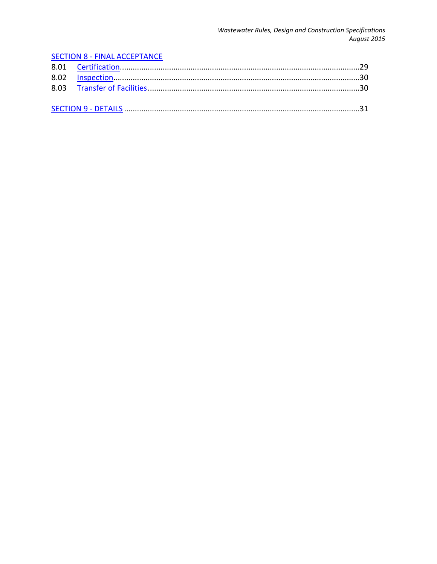#### **SECTION 8 - FINAL ACCEPTANCE** 8.01 8.02 8.03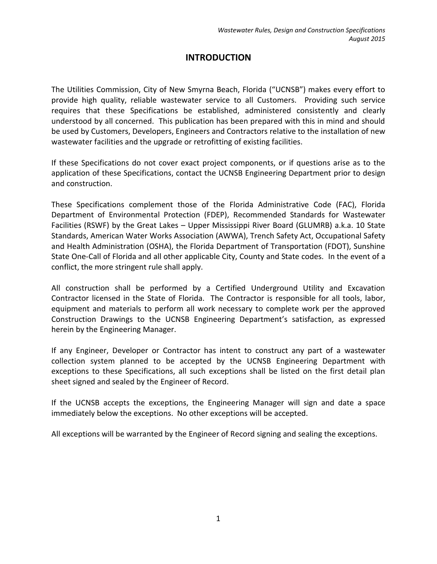# **INTRODUCTION**

<span id="page-3-0"></span>The Utilities Commission, City of New Smyrna Beach, Florida ("UCNSB") makes every effort to provide high quality, reliable wastewater service to all Customers. Providing such service requires that these Specifications be established, administered consistently and clearly understood by all concerned. This publication has been prepared with this in mind and should be used by Customers, Developers, Engineers and Contractors relative to the installation of new wastewater facilities and the upgrade or retrofitting of existing facilities.

If these Specifications do not cover exact project components, or if questions arise as to the application of these Specifications, contact the UCNSB Engineering Department prior to design and construction.

These Specifications complement those of the Florida Administrative Code (FAC), Florida Department of Environmental Protection (FDEP), Recommended Standards for Wastewater Facilities (RSWF) by the Great Lakes – Upper Mississippi River Board (GLUMRB) a.k.a. 10 State Standards, American Water Works Association (AWWA), Trench Safety Act, Occupational Safety and Health Administration (OSHA), the Florida Department of Transportation (FDOT), Sunshine State One-Call of Florida and all other applicable City, County and State codes. In the event of a conflict, the more stringent rule shall apply.

All construction shall be performed by a Certified Underground Utility and Excavation Contractor licensed in the State of Florida. The Contractor is responsible for all tools, labor, equipment and materials to perform all work necessary to complete work per the approved Construction Drawings to the UCNSB Engineering Department's satisfaction, as expressed herein by the Engineering Manager.

If any Engineer, Developer or Contractor has intent to construct any part of a wastewater collection system planned to be accepted by the UCNSB Engineering Department with exceptions to these Specifications, all such exceptions shall be listed on the first detail plan sheet signed and sealed by the Engineer of Record.

If the UCNSB accepts the exceptions, the Engineering Manager will sign and date a space immediately below the exceptions. No other exceptions will be accepted.

All exceptions will be warranted by the Engineer of Record signing and sealing the exceptions.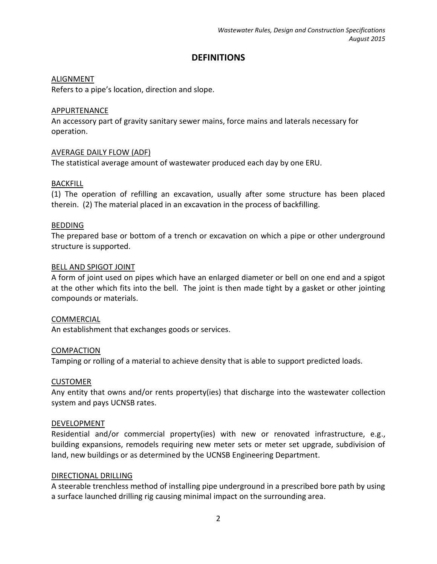# **DEFINITIONS**

## <span id="page-4-0"></span>ALIGNMENT

Refers to a pipe's location, direction and slope.

## APPURTENANCE

An accessory part of gravity sanitary sewer mains, force mains and laterals necessary for operation.

## AVERAGE DAILY FLOW (ADF)

The statistical average amount of wastewater produced each day by one ERU.

## BACKFILL

(1) The operation of refilling an excavation, usually after some structure has been placed therein. (2) The material placed in an excavation in the process of backfilling.

## BEDDING

The prepared base or bottom of a trench or excavation on which a pipe or other underground structure is supported.

## BELL AND SPIGOT JOINT

A form of joint used on pipes which have an enlarged diameter or bell on one end and a spigot at the other which fits into the bell. The joint is then made tight by a gasket or other jointing compounds or materials.

## COMMERCIAL

An establishment that exchanges goods or services.

#### **COMPACTION**

Tamping or rolling of a material to achieve density that is able to support predicted loads.

#### CUSTOMER

Any entity that owns and/or rents property(ies) that discharge into the wastewater collection system and pays UCNSB rates.

#### DEVELOPMENT

Residential and/or commercial property(ies) with new or renovated infrastructure, e.g., building expansions, remodels requiring new meter sets or meter set upgrade, subdivision of land, new buildings or as determined by the UCNSB Engineering Department.

#### DIRECTIONAL DRILLING

A steerable trenchless method of installing pipe underground in a prescribed bore path by using a surface launched drilling rig causing minimal impact on the surrounding area.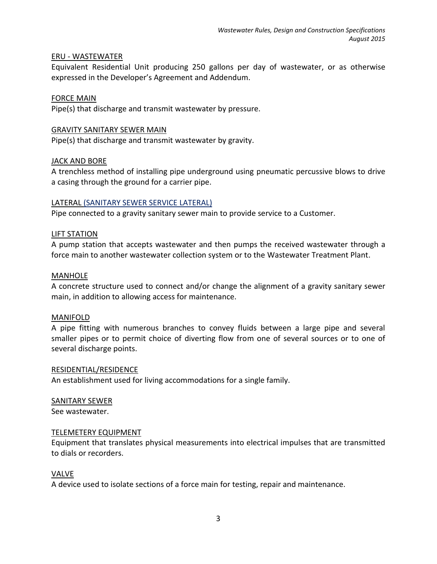#### ERU - WASTEWATER

Equivalent Residential Unit producing 250 gallons per day of wastewater, or as otherwise expressed in the Developer's Agreement and Addendum.

## FORCE MAIN

Pipe(s) that discharge and transmit wastewater by pressure.

## GRAVITY SANITARY SEWER MAIN

Pipe(s) that discharge and transmit wastewater by gravity.

## JACK AND BORE

A trenchless method of installing pipe underground using pneumatic percussive blows to drive a casing through the ground for a carrier pipe.

## LATERAL (SANITARY SEWER SERVICE LATERAL)

Pipe connected to a gravity sanitary sewer main to provide service to a Customer.

## LIFT STATION

A pump station that accepts wastewater and then pumps the received wastewater through a force main to another wastewater collection system or to the Wastewater Treatment Plant.

#### MANHOLE

A concrete structure used to connect and/or change the alignment of a gravity sanitary sewer main, in addition to allowing access for maintenance.

#### MANIFOLD

A pipe fitting with numerous branches to convey fluids between a large pipe and several smaller pipes or to permit choice of diverting flow from one of several sources or to one of several discharge points.

#### RESIDENTIAL/RESIDENCE

An establishment used for living accommodations for a single family.

## SANITARY SEWER

See wastewater.

#### TELEMETERY EQUIPMENT

Equipment that translates physical measurements into electrical impulses that are transmitted to dials or recorders.

#### VALVE

A device used to isolate sections of a force main for testing, repair and maintenance.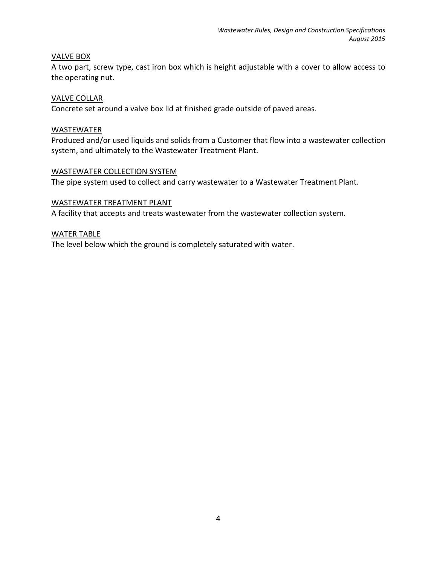## VALVE BOX

A two part, screw type, cast iron box which is height adjustable with a cover to allow access to the operating nut.

#### VALVE COLLAR

Concrete set around a valve box lid at finished grade outside of paved areas.

#### WASTEWATER

Produced and/or used liquids and solids from a Customer that flow into a wastewater collection system, and ultimately to the Wastewater Treatment Plant.

#### WASTEWATER COLLECTION SYSTEM

The pipe system used to collect and carry wastewater to a Wastewater Treatment Plant.

## WASTEWATER TREATMENT PLANT

A facility that accepts and treats wastewater from the wastewater collection system.

## WATER TABLE

The level below which the ground is completely saturated with water.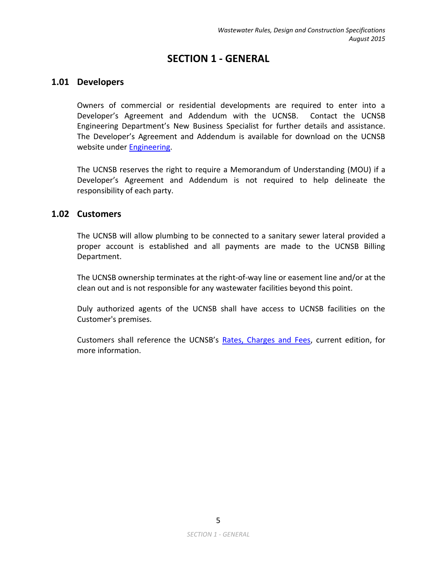# **SECTION 1 - GENERAL**

# <span id="page-7-1"></span><span id="page-7-0"></span>**1.01 Developers**

Owners of commercial or residential developments are required to enter into a Developer's Agreement and Addendum with the UCNSB. Contact the UCNSB Engineering Department's New Business Specialist for further details and assistance. The Developer's Agreement and Addendum is available for download on the UCNSB website under [Engineering.](http://ucnsb.org/sitemap/inside-the-uc/engineering/engineering-center)

The UCNSB reserves the right to require a Memorandum of Understanding (MOU) if a Developer's Agreement and Addendum is not required to help delineate the responsibility of each party.

# <span id="page-7-2"></span>**1.02 Customers**

The UCNSB will allow plumbing to be connected to a sanitary sewer lateral provided a proper account is established and all payments are made to the UCNSB Billing Department.

The UCNSB ownership terminates at the right-of-way line or easement line and/or at the clean out and is not responsible for any wastewater facilities beyond this point.

Duly authorized agents of the UCNSB shall have access to UCNSB facilities on the Customer's premises.

Customers shall reference the UCNSB's [Rates, Charges and Fees,](http://ucnsb.org/docs/default-source/customer-service/customer-service-docs/rcfrevisedapril1st2014.pdf) current edition, for more information.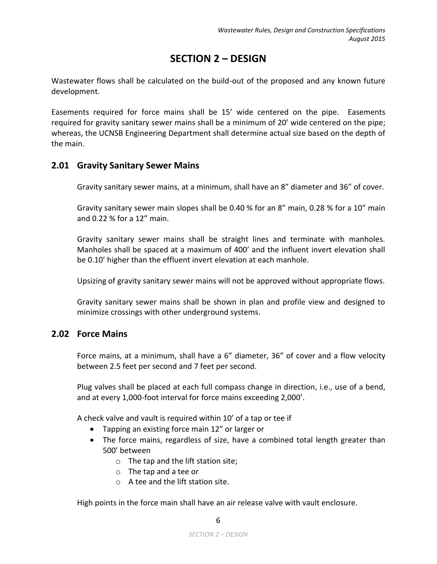# **SECTION 2 – DESIGN**

<span id="page-8-0"></span>Wastewater flows shall be calculated on the build-out of the proposed and any known future development.

Easements required for force mains shall be 15' wide centered on the pipe. Easements required for gravity sanitary sewer mains shall be a minimum of 20' wide centered on the pipe; whereas, the UCNSB Engineering Department shall determine actual size based on the depth of the main.

# <span id="page-8-1"></span>**2.01 Gravity Sanitary Sewer Mains**

Gravity sanitary sewer mains, at a minimum, shall have an 8" diameter and 36" of cover.

Gravity sanitary sewer main slopes shall be 0.40 % for an 8" main, 0.28 % for a 10" main and 0.22 % for a 12" main.

Gravity sanitary sewer mains shall be straight lines and terminate with manholes. Manholes shall be spaced at a maximum of 400' and the influent invert elevation shall be 0.10' higher than the effluent invert elevation at each manhole.

Upsizing of gravity sanitary sewer mains will not be approved without appropriate flows.

Gravity sanitary sewer mains shall be shown in plan and profile view and designed to minimize crossings with other underground systems.

# <span id="page-8-2"></span>**2.02 Force Mains**

Force mains, at a minimum, shall have a 6" diameter, 36" of cover and a flow velocity between 2.5 feet per second and 7 feet per second.

Plug valves shall be placed at each full compass change in direction, i.e., use of a bend, and at every 1,000-foot interval for force mains exceeding 2,000'.

A check valve and vault is required within 10' of a tap or tee if

- Tapping an existing force main 12" or larger or
- The force mains, regardless of size, have a combined total length greater than 500' between
	- o The tap and the lift station site;
	- o The tap and a tee or
	- $\circ$  A tee and the lift station site.

High points in the force main shall have an air release valve with vault enclosure.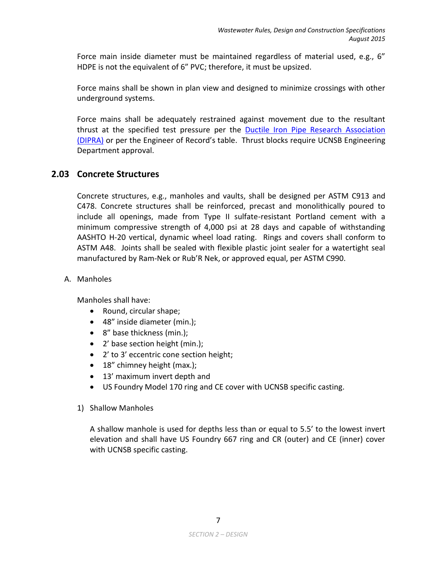Force main inside diameter must be maintained regardless of material used, e.g., 6" HDPE is not the equivalent of 6" PVC; therefore, it must be upsized.

Force mains shall be shown in plan view and designed to minimize crossings with other underground systems.

Force mains shall be adequately restrained against movement due to the resultant thrust at the specified test pressure per the [Ductile Iron Pipe Research Association](http://dipra.org/)  [\(DIPRA\)](http://dipra.org/) or per the Engineer of Record's table. Thrust blocks require UCNSB Engineering Department approval.

# <span id="page-9-0"></span>**2.03 Concrete Structures**

Concrete structures, e.g., manholes and vaults, shall be designed per ASTM C913 and C478. Concrete structures shall be reinforced, precast and monolithically poured to include all openings, made from Type II sulfate-resistant Portland cement with a minimum compressive strength of 4,000 psi at 28 days and capable of withstanding AASHTO H-20 vertical, dynamic wheel load rating. Rings and covers shall conform to ASTM A48. Joints shall be sealed with flexible plastic joint sealer for a watertight seal manufactured by Ram-Nek or Rub'R Nek, or approved equal, per ASTM C990.

A. Manholes

Manholes shall have:

- Round, circular shape;
- 48" inside diameter (min.);
- 8" base thickness (min.);
- 2' base section height (min.);
- 2' to 3' eccentric cone section height;
- 18" chimney height (max.);
- 13' maximum invert depth and
- US Foundry Model 170 ring and CE cover with UCNSB specific casting.
- 1) Shallow Manholes

A shallow manhole is used for depths less than or equal to 5.5' to the lowest invert elevation and shall have US Foundry 667 ring and CR (outer) and CE (inner) cover with UCNSB specific casting.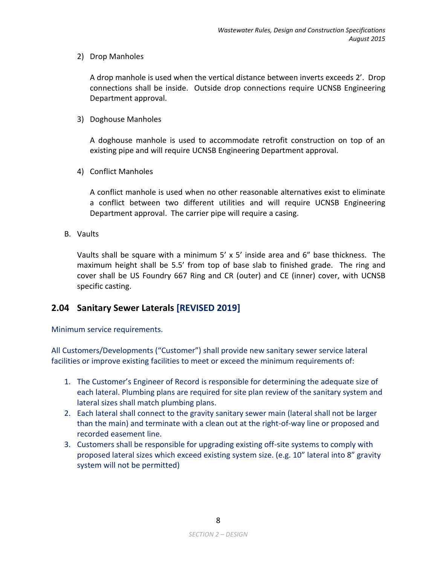2) Drop Manholes

A drop manhole is used when the vertical distance between inverts exceeds 2'. Drop connections shall be inside. Outside drop connections require UCNSB Engineering Department approval.

3) Doghouse Manholes

A doghouse manhole is used to accommodate retrofit construction on top of an existing pipe and will require UCNSB Engineering Department approval.

4) Conflict Manholes

A conflict manhole is used when no other reasonable alternatives exist to eliminate a conflict between two different utilities and will require UCNSB Engineering Department approval. The carrier pipe will require a casing.

B. Vaults

Vaults shall be square with a minimum 5' x 5' inside area and 6" base thickness. The maximum height shall be 5.5' from top of base slab to finished grade. The ring and cover shall be US Foundry 667 Ring and CR (outer) and CE (inner) cover, with UCNSB specific casting.

# <span id="page-10-0"></span>**2.04 Sanitary Sewer Laterals [REVISED 2019]**

Minimum service requirements.

All Customers/Developments ("Customer") shall provide new sanitary sewer service lateral facilities or improve existing facilities to meet or exceed the minimum requirements of:

- 1. The Customer's Engineer of Record is responsible for determining the adequate size of each lateral. Plumbing plans are required for site plan review of the sanitary system and lateral sizes shall match plumbing plans.
- 2. Each lateral shall connect to the gravity sanitary sewer main (lateral shall not be larger than the main) and terminate with a clean out at the right-of-way line or proposed and recorded easement line.
- 3. Customers shall be responsible for upgrading existing off-site systems to comply with proposed lateral sizes which exceed existing system size. (e.g. 10" lateral into 8" gravity system will not be permitted)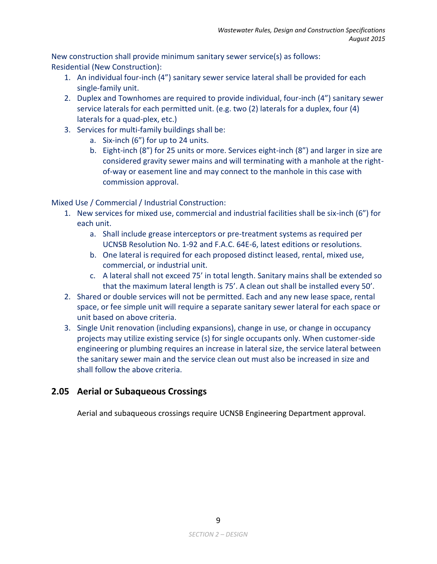New construction shall provide minimum sanitary sewer service(s) as follows: Residential (New Construction):

- 1. An individual four-inch (4") sanitary sewer service lateral shall be provided for each single-family unit.
- 2. Duplex and Townhomes are required to provide individual, four-inch (4") sanitary sewer service laterals for each permitted unit. (e.g. two (2) laterals for a duplex, four (4) laterals for a quad-plex, etc.)
- 3. Services for multi-family buildings shall be:
	- a. Six-inch (6") for up to 24 units.
	- b. Eight-inch (8") for 25 units or more. Services eight-inch (8") and larger in size are considered gravity sewer mains and will terminating with a manhole at the rightof-way or easement line and may connect to the manhole in this case with commission approval.

Mixed Use / Commercial / Industrial Construction:

- 1. New services for mixed use, commercial and industrial facilities shall be six-inch (6") for each unit.
	- a. Shall include grease interceptors or pre-treatment systems as required per UCNSB Resolution No. 1-92 and F.A.C. 64E-6, latest editions or resolutions.
	- b. One lateral is required for each proposed distinct leased, rental, mixed use, commercial, or industrial unit.
	- c. A lateral shall not exceed 75' in total length. Sanitary mains shall be extended so that the maximum lateral length is 75'. A clean out shall be installed every 50'.
- 2. Shared or double services will not be permitted. Each and any new lease space, rental space, or fee simple unit will require a separate sanitary sewer lateral for each space or unit based on above criteria.
- 3. Single Unit renovation (including expansions), change in use, or change in occupancy projects may utilize existing service (s) for single occupants only. When customer-side engineering or plumbing requires an increase in lateral size, the service lateral between the sanitary sewer main and the service clean out must also be increased in size and shall follow the above criteria.

# <span id="page-11-0"></span>**2.05 Aerial or Subaqueous Crossings**

Aerial and subaqueous crossings require UCNSB Engineering Department approval.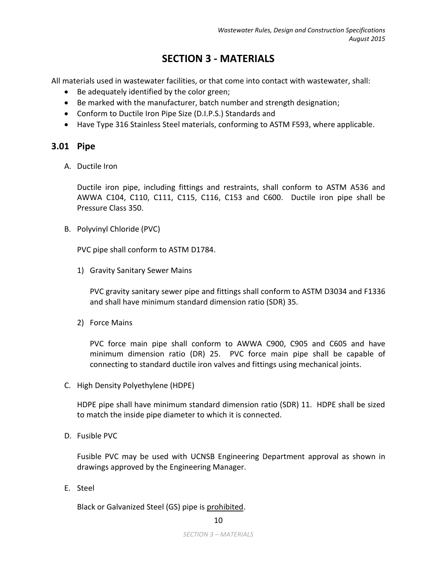# **SECTION 3 - MATERIALS**

<span id="page-12-0"></span>All materials used in wastewater facilities, or that come into contact with wastewater, shall:

- Be adequately identified by the color green;
- Be marked with the manufacturer, batch number and strength designation;
- Conform to Ductile Iron Pipe Size (D.I.P.S.) Standards and
- Have Type 316 Stainless Steel materials, conforming to ASTM F593, where applicable.

## <span id="page-12-1"></span>**3.01 Pipe**

A. Ductile Iron

Ductile iron pipe, including fittings and restraints, shall conform to ASTM A536 and AWWA C104, C110, C111, C115, C116, C153 and C600. Ductile iron pipe shall be Pressure Class 350.

B. Polyvinyl Chloride (PVC)

PVC pipe shall conform to ASTM D1784.

1) Gravity Sanitary Sewer Mains

PVC gravity sanitary sewer pipe and fittings shall conform to ASTM D3034 and F1336 and shall have minimum standard dimension ratio (SDR) 35.

2) Force Mains

PVC force main pipe shall conform to AWWA C900, C905 and C605 and have minimum dimension ratio (DR) 25. PVC force main pipe shall be capable of connecting to standard ductile iron valves and fittings using mechanical joints.

C. High Density Polyethylene (HDPE)

HDPE pipe shall have minimum standard dimension ratio (SDR) 11. HDPE shall be sized to match the inside pipe diameter to which it is connected.

D. Fusible PVC

Fusible PVC may be used with UCNSB Engineering Department approval as shown in drawings approved by the Engineering Manager.

E. Steel

Black or Galvanized Steel (GS) pipe is prohibited.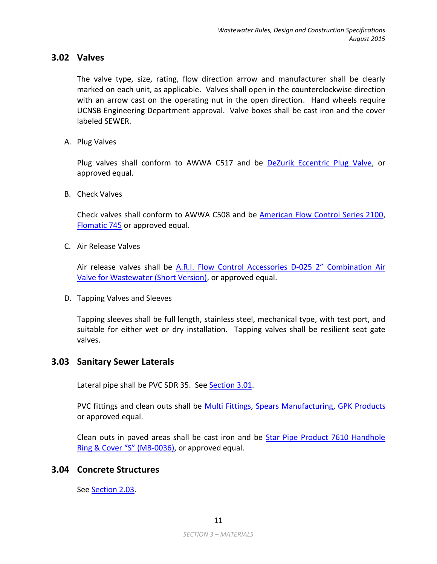## <span id="page-13-0"></span>**3.02 Valves**

The valve type, size, rating, flow direction arrow and manufacturer shall be clearly marked on each unit, as applicable. Valves shall open in the counterclockwise direction with an arrow cast on the operating nut in the open direction. Hand wheels require UCNSB Engineering Department approval. Valve boxes shall be cast iron and the cover labeled SEWER.

A. Plug Valves

Plug valves shall conform to AWWA C517 and be [DeZurik Eccentric Plug Valve,](http://www.dezurik.com/products/product-line/plug-valves/eccentric-plug-valves-pec-pef/1/115/) or approved equal.

B. Check Valves

Check valves shall conform to AWWA C508 and be [American Flow Control Series 2100,](http://www.american-usa.com/products/valves-and-hydrants/check-valves/series-2100-resilient-seated-check-valves) [Flomatic 745](http://www.flomatic.com/valves/check-valves/swing-check-valves/index.asp?valveid=134) or approved equal.

C. Air Release Valves

Air release valves shall be [A.R.I. Flow Control Accessories D-025](http://www.arivalves.com/products/wastewater/item/d-025-combination-air-valve-for-wastewater-short-version) 2" Combination Air [Valve for Wastewater \(Short Version\),](http://www.arivalves.com/products/wastewater/item/d-025-combination-air-valve-for-wastewater-short-version) or approved equal.

D. Tapping Valves and Sleeves

Tapping sleeves shall be full length, stainless steel, mechanical type, with test port, and suitable for either wet or dry installation. Tapping valves shall be resilient seat gate valves.

## <span id="page-13-1"></span>**3.03 Sanitary Sewer Laterals**

Lateral pipe shall be PVC SDR 35. See [Section 3.01.](#page-12-1)

PVC fittings and clean outs shall be [Multi Fittings,](http://www.multifittings.com/Content/General/Home.aspx) [Spears Manufacturing,](http://www.spearsmfg.com/) [GPK Products](http://www.gpk-fargo.com/) or approved equal.

Clean outs in paved areas shall be cast iron and be [Star Pipe Product 7610 Handhole](http://www.starpipeproducts.com/mun-castings.asp)  [Ring & Cover "S"](http://www.starpipeproducts.com/mun-castings.asp) (MB-0036), or approved equal.

## <span id="page-13-2"></span>**3.04 Concrete Structures**

See [Section 2.03.](#page-9-0)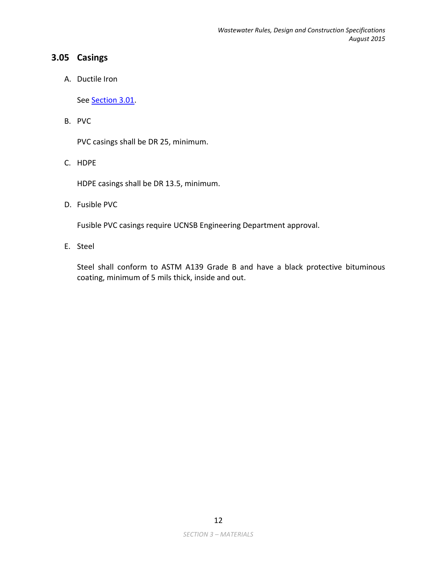# <span id="page-14-0"></span>**3.05 Casings**

A. Ductile Iron

See [Section 3.01.](#page-12-1)

B. PVC

PVC casings shall be DR 25, minimum.

C. HDPE

HDPE casings shall be DR 13.5, minimum.

D. Fusible PVC

Fusible PVC casings require UCNSB Engineering Department approval.

E. Steel

Steel shall conform to ASTM A139 Grade B and have a black protective bituminous coating, minimum of 5 mils thick, inside and out.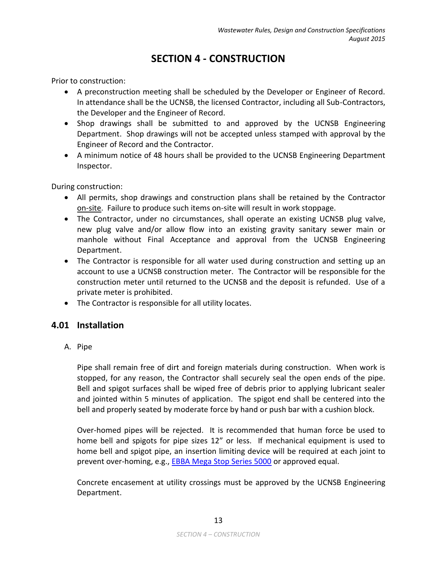# **SECTION 4 - CONSTRUCTION**

<span id="page-15-0"></span>Prior to construction:

- A preconstruction meeting shall be scheduled by the Developer or Engineer of Record. In attendance shall be the UCNSB, the licensed Contractor, including all Sub-Contractors, the Developer and the Engineer of Record.
- Shop drawings shall be submitted to and approved by the UCNSB Engineering Department. Shop drawings will not be accepted unless stamped with approval by the Engineer of Record and the Contractor.
- A minimum notice of 48 hours shall be provided to the UCNSB Engineering Department Inspector.

During construction:

- All permits, shop drawings and construction plans shall be retained by the Contractor on-site. Failure to produce such items on-site will result in work stoppage.
- The Contractor, under no circumstances, shall operate an existing UCNSB plug valve, new plug valve and/or allow flow into an existing gravity sanitary sewer main or manhole without Final Acceptance and approval from the UCNSB Engineering Department.
- The Contractor is responsible for all water used during construction and setting up an account to use a UCNSB construction meter. The Contractor will be responsible for the construction meter until returned to the UCNSB and the deposit is refunded. Use of a private meter is prohibited.
- The Contractor is responsible for all utility locates.

# <span id="page-15-1"></span>**4.01 Installation**

A. Pipe

Pipe shall remain free of dirt and foreign materials during construction. When work is stopped, for any reason, the Contractor shall securely seal the open ends of the pipe. Bell and spigot surfaces shall be wiped free of debris prior to applying lubricant sealer and jointed within 5 minutes of application. The spigot end shall be centered into the bell and properly seated by moderate force by hand or push bar with a cushion block.

Over-homed pipes will be rejected. It is recommended that human force be used to home bell and spigots for pipe sizes 12" or less. If mechanical equipment is used to home bell and spigot pipe, an insertion limiting device will be required at each joint to prevent over-homing, e.g., [EBBA Mega Stop Series 5000](http://www.ebaa.com/) or approved equal.

Concrete encasement at utility crossings must be approved by the UCNSB Engineering Department.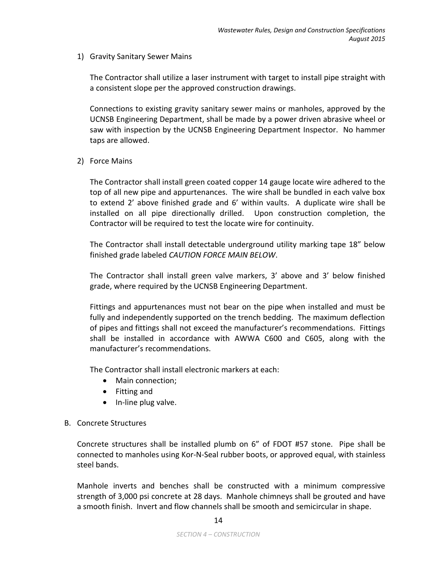1) Gravity Sanitary Sewer Mains

The Contractor shall utilize a laser instrument with target to install pipe straight with a consistent slope per the approved construction drawings.

Connections to existing gravity sanitary sewer mains or manholes, approved by the UCNSB Engineering Department, shall be made by a power driven abrasive wheel or saw with inspection by the UCNSB Engineering Department Inspector. No hammer taps are allowed.

2) Force Mains

The Contractor shall install green coated copper 14 gauge locate wire adhered to the top of all new pipe and appurtenances. The wire shall be bundled in each valve box to extend 2' above finished grade and 6' within vaults. A duplicate wire shall be installed on all pipe directionally drilled. Upon construction completion, the Contractor will be required to test the locate wire for continuity.

The Contractor shall install detectable underground utility marking tape 18" below finished grade labeled *CAUTION FORCE MAIN BELOW*.

The Contractor shall install green valve markers, 3' above and 3' below finished grade, where required by the UCNSB Engineering Department.

Fittings and appurtenances must not bear on the pipe when installed and must be fully and independently supported on the trench bedding. The maximum deflection of pipes and fittings shall not exceed the manufacturer's recommendations. Fittings shall be installed in accordance with AWWA C600 and C605, along with the manufacturer's recommendations.

The Contractor shall install electronic markers at each:

- Main connection;
- Fitting and
- In-line plug valve.
- B. Concrete Structures

Concrete structures shall be installed plumb on 6" of FDOT #57 stone. Pipe shall be connected to manholes using Kor-N-Seal rubber boots, or approved equal, with stainless steel bands.

Manhole inverts and benches shall be constructed with a minimum compressive strength of 3,000 psi concrete at 28 days. Manhole chimneys shall be grouted and have a smooth finish. Invert and flow channels shall be smooth and semicircular in shape.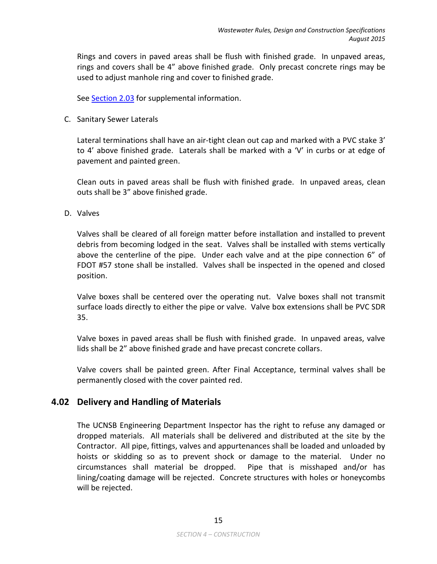Rings and covers in paved areas shall be flush with finished grade. In unpaved areas, rings and covers shall be 4" above finished grade. Only precast concrete rings may be used to adjust manhole ring and cover to finished grade.

See [Section 2.03](#page-9-0) for supplemental information.

C. Sanitary Sewer Laterals

Lateral terminations shall have an air-tight clean out cap and marked with a PVC stake 3' to 4' above finished grade. Laterals shall be marked with a 'V' in curbs or at edge of pavement and painted green.

Clean outs in paved areas shall be flush with finished grade. In unpaved areas, clean outs shall be 3" above finished grade.

D. Valves

Valves shall be cleared of all foreign matter before installation and installed to prevent debris from becoming lodged in the seat. Valves shall be installed with stems vertically above the centerline of the pipe. Under each valve and at the pipe connection 6" of FDOT #57 stone shall be installed. Valves shall be inspected in the opened and closed position.

Valve boxes shall be centered over the operating nut. Valve boxes shall not transmit surface loads directly to either the pipe or valve. Valve box extensions shall be PVC SDR 35.

Valve boxes in paved areas shall be flush with finished grade. In unpaved areas, valve lids shall be 2" above finished grade and have precast concrete collars.

Valve covers shall be painted green. After Final Acceptance, terminal valves shall be permanently closed with the cover painted red.

# <span id="page-17-0"></span>**4.02 Delivery and Handling of Materials**

The UCNSB Engineering Department Inspector has the right to refuse any damaged or dropped materials. All materials shall be delivered and distributed at the site by the Contractor. All pipe, fittings, valves and appurtenances shall be loaded and unloaded by hoists or skidding so as to prevent shock or damage to the material. Under no circumstances shall material be dropped. Pipe that is misshaped and/or has lining/coating damage will be rejected. Concrete structures with holes or honeycombs will be rejected.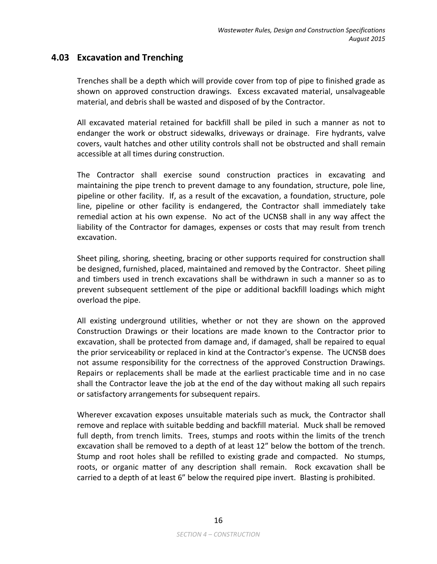## <span id="page-18-0"></span>**4.03 Excavation and Trenching**

Trenches shall be a depth which will provide cover from top of pipe to finished grade as shown on approved construction drawings. Excess excavated material, unsalvageable material, and debris shall be wasted and disposed of by the Contractor.

All excavated material retained for backfill shall be piled in such a manner as not to endanger the work or obstruct sidewalks, driveways or drainage. Fire hydrants, valve covers, vault hatches and other utility controls shall not be obstructed and shall remain accessible at all times during construction.

The Contractor shall exercise sound construction practices in excavating and maintaining the pipe trench to prevent damage to any foundation, structure, pole line, pipeline or other facility. If, as a result of the excavation, a foundation, structure, pole line, pipeline or other facility is endangered, the Contractor shall immediately take remedial action at his own expense. No act of the UCNSB shall in any way affect the liability of the Contractor for damages, expenses or costs that may result from trench excavation.

Sheet piling, shoring, sheeting, bracing or other supports required for construction shall be designed, furnished, placed, maintained and removed by the Contractor. Sheet piling and timbers used in trench excavations shall be withdrawn in such a manner so as to prevent subsequent settlement of the pipe or additional backfill loadings which might overload the pipe.

All existing underground utilities, whether or not they are shown on the approved Construction Drawings or their locations are made known to the Contractor prior to excavation, shall be protected from damage and, if damaged, shall be repaired to equal the prior serviceability or replaced in kind at the Contractor's expense. The UCNSB does not assume responsibility for the correctness of the approved Construction Drawings. Repairs or replacements shall be made at the earliest practicable time and in no case shall the Contractor leave the job at the end of the day without making all such repairs or satisfactory arrangements for subsequent repairs.

Wherever excavation exposes unsuitable materials such as muck, the Contractor shall remove and replace with suitable bedding and backfill material. Muck shall be removed full depth, from trench limits. Trees, stumps and roots within the limits of the trench excavation shall be removed to a depth of at least 12" below the bottom of the trench. Stump and root holes shall be refilled to existing grade and compacted. No stumps, roots, or organic matter of any description shall remain. Rock excavation shall be carried to a depth of at least 6" below the required pipe invert. Blasting is prohibited.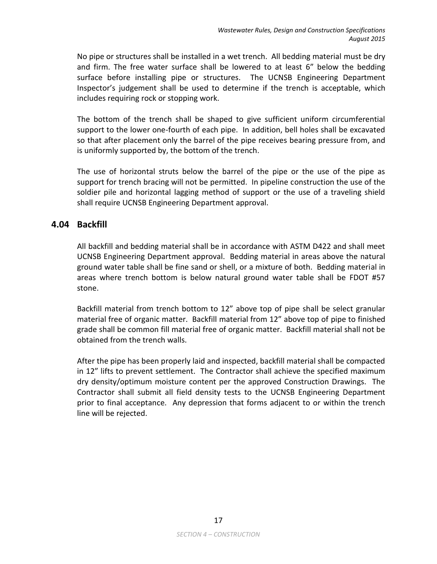No pipe or structures shall be installed in a wet trench. All bedding material must be dry and firm. The free water surface shall be lowered to at least 6" below the bedding surface before installing pipe or structures. The UCNSB Engineering Department Inspector's judgement shall be used to determine if the trench is acceptable, which includes requiring rock or stopping work.

The bottom of the trench shall be shaped to give sufficient uniform circumferential support to the lower one-fourth of each pipe. In addition, bell holes shall be excavated so that after placement only the barrel of the pipe receives bearing pressure from, and is uniformly supported by, the bottom of the trench.

The use of horizontal struts below the barrel of the pipe or the use of the pipe as support for trench bracing will not be permitted. In pipeline construction the use of the soldier pile and horizontal lagging method of support or the use of a traveling shield shall require UCNSB Engineering Department approval.

# <span id="page-19-0"></span>**4.04 Backfill**

All backfill and bedding material shall be in accordance with ASTM D422 and shall meet UCNSB Engineering Department approval. Bedding material in areas above the natural ground water table shall be fine sand or shell, or a mixture of both. Bedding material in areas where trench bottom is below natural ground water table shall be FDOT #57 stone.

Backfill material from trench bottom to 12" above top of pipe shall be select granular material free of organic matter. Backfill material from 12" above top of pipe to finished grade shall be common fill material free of organic matter. Backfill material shall not be obtained from the trench walls.

After the pipe has been properly laid and inspected, backfill material shall be compacted in 12" lifts to prevent settlement. The Contractor shall achieve the specified maximum dry density/optimum moisture content per the approved Construction Drawings. The Contractor shall submit all field density tests to the UCNSB Engineering Department prior to final acceptance. Any depression that forms adjacent to or within the trench line will be rejected.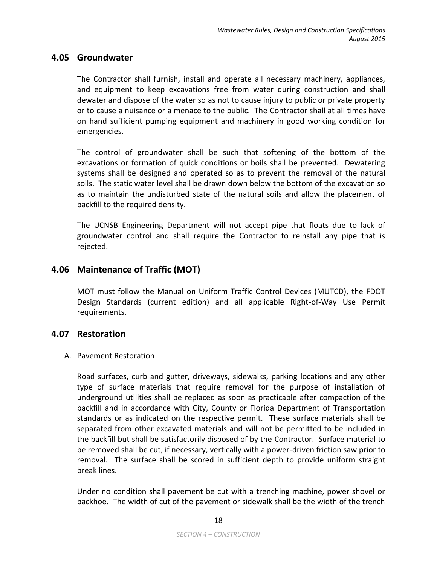## <span id="page-20-0"></span>**4.05 Groundwater**

The Contractor shall furnish, install and operate all necessary machinery, appliances, and equipment to keep excavations free from water during construction and shall dewater and dispose of the water so as not to cause injury to public or private property or to cause a nuisance or a menace to the public. The Contractor shall at all times have on hand sufficient pumping equipment and machinery in good working condition for emergencies.

The control of groundwater shall be such that softening of the bottom of the excavations or formation of quick conditions or boils shall be prevented. Dewatering systems shall be designed and operated so as to prevent the removal of the natural soils. The static water level shall be drawn down below the bottom of the excavation so as to maintain the undisturbed state of the natural soils and allow the placement of backfill to the required density.

The UCNSB Engineering Department will not accept pipe that floats due to lack of groundwater control and shall require the Contractor to reinstall any pipe that is rejected.

# <span id="page-20-1"></span>**4.06 Maintenance of Traffic (MOT)**

MOT must follow the Manual on Uniform Traffic Control Devices (MUTCD), the FDOT Design Standards (current edition) and all applicable Right-of-Way Use Permit requirements.

## <span id="page-20-2"></span>**4.07 Restoration**

#### A. Pavement Restoration

Road surfaces, curb and gutter, driveways, sidewalks, parking locations and any other type of surface materials that require removal for the purpose of installation of underground utilities shall be replaced as soon as practicable after compaction of the backfill and in accordance with City, County or Florida Department of Transportation standards or as indicated on the respective permit. These surface materials shall be separated from other excavated materials and will not be permitted to be included in the backfill but shall be satisfactorily disposed of by the Contractor. Surface material to be removed shall be cut, if necessary, vertically with a power-driven friction saw prior to removal. The surface shall be scored in sufficient depth to provide uniform straight break lines.

Under no condition shall pavement be cut with a trenching machine, power shovel or backhoe. The width of cut of the pavement or sidewalk shall be the width of the trench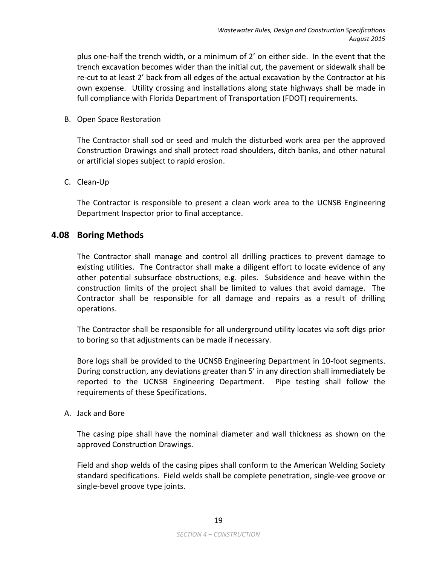plus one-half the trench width, or a minimum of 2' on either side. In the event that the trench excavation becomes wider than the initial cut, the pavement or sidewalk shall be re-cut to at least 2' back from all edges of the actual excavation by the Contractor at his own expense. Utility crossing and installations along state highways shall be made in full compliance with Florida Department of Transportation (FDOT) requirements.

## B. Open Space Restoration

The Contractor shall sod or seed and mulch the disturbed work area per the approved Construction Drawings and shall protect road shoulders, ditch banks, and other natural or artificial slopes subject to rapid erosion.

## C. Clean-Up

The Contractor is responsible to present a clean work area to the UCNSB Engineering Department Inspector prior to final acceptance.

## <span id="page-21-0"></span>**4.08 Boring Methods**

The Contractor shall manage and control all drilling practices to prevent damage to existing utilities. The Contractor shall make a diligent effort to locate evidence of any other potential subsurface obstructions, e.g. piles. Subsidence and heave within the construction limits of the project shall be limited to values that avoid damage. The Contractor shall be responsible for all damage and repairs as a result of drilling operations.

The Contractor shall be responsible for all underground utility locates via soft digs prior to boring so that adjustments can be made if necessary.

Bore logs shall be provided to the UCNSB Engineering Department in 10-foot segments. During construction, any deviations greater than 5' in any direction shall immediately be reported to the UCNSB Engineering Department. Pipe testing shall follow the requirements of these Specifications.

#### A. Jack and Bore

The casing pipe shall have the nominal diameter and wall thickness as shown on the approved Construction Drawings.

Field and shop welds of the casing pipes shall conform to the American Welding Society standard specifications. Field welds shall be complete penetration, single-vee groove or single-bevel groove type joints.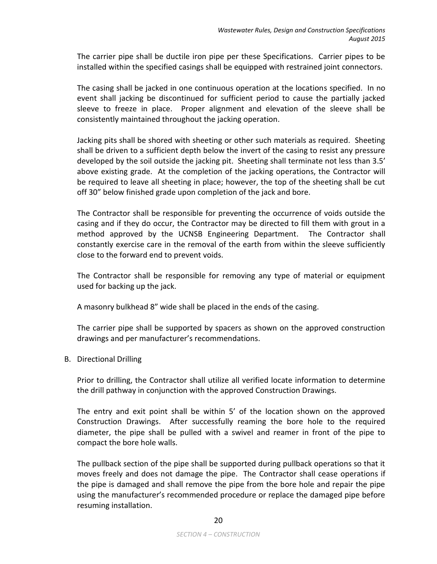The carrier pipe shall be ductile iron pipe per these Specifications. Carrier pipes to be installed within the specified casings shall be equipped with restrained joint connectors.

The casing shall be jacked in one continuous operation at the locations specified. In no event shall jacking be discontinued for sufficient period to cause the partially jacked sleeve to freeze in place. Proper alignment and elevation of the sleeve shall be consistently maintained throughout the jacking operation.

Jacking pits shall be shored with sheeting or other such materials as required. Sheeting shall be driven to a sufficient depth below the invert of the casing to resist any pressure developed by the soil outside the jacking pit. Sheeting shall terminate not less than 3.5' above existing grade. At the completion of the jacking operations, the Contractor will be required to leave all sheeting in place; however, the top of the sheeting shall be cut off 30" below finished grade upon completion of the jack and bore.

The Contractor shall be responsible for preventing the occurrence of voids outside the casing and if they do occur, the Contractor may be directed to fill them with grout in a method approved by the UCNSB Engineering Department. The Contractor shall constantly exercise care in the removal of the earth from within the sleeve sufficiently close to the forward end to prevent voids.

The Contractor shall be responsible for removing any type of material or equipment used for backing up the jack.

A masonry bulkhead 8" wide shall be placed in the ends of the casing.

The carrier pipe shall be supported by spacers as shown on the approved construction drawings and per manufacturer's recommendations.

## B. Directional Drilling

Prior to drilling, the Contractor shall utilize all verified locate information to determine the drill pathway in conjunction with the approved Construction Drawings.

The entry and exit point shall be within 5' of the location shown on the approved Construction Drawings. After successfully reaming the bore hole to the required diameter, the pipe shall be pulled with a swivel and reamer in front of the pipe to compact the bore hole walls.

The pullback section of the pipe shall be supported during pullback operations so that it moves freely and does not damage the pipe. The Contractor shall cease operations if the pipe is damaged and shall remove the pipe from the bore hole and repair the pipe using the manufacturer's recommended procedure or replace the damaged pipe before resuming installation.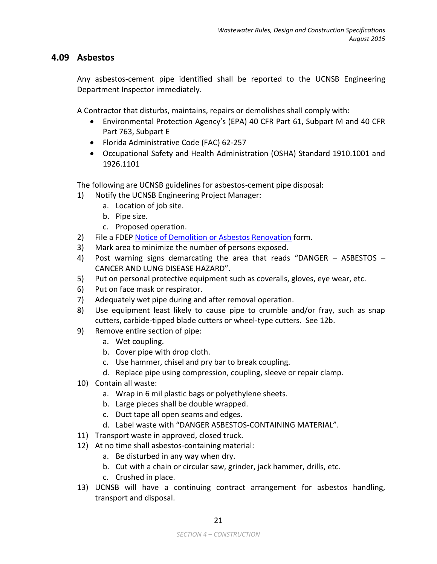# <span id="page-23-0"></span>**4.09 Asbestos**

Any asbestos-cement pipe identified shall be reported to the UCNSB Engineering Department Inspector immediately.

A Contractor that disturbs, maintains, repairs or demolishes shall comply with:

- Environmental Protection Agency's (EPA) 40 CFR Part 61, Subpart M and 40 CFR Part 763, Subpart E
- Florida Administrative Code (FAC) 62-257
- Occupational Safety and Health Administration (OSHA) Standard 1910.1001 and 1926.1101

The following are UCNSB guidelines for asbestos-cement pipe disposal:

- 1) Notify the UCNSB Engineering Project Manager:
	- a. Location of job site.
	- b. Pipe size.
	- c. Proposed operation.
- 2) File a FDEP [Notice of Demolition or Asbestos Renovation](http://www.dep.state.fl.us/air/rules/forms/asbestos.htm) form.
- 3) Mark area to minimize the number of persons exposed.
- 4) Post warning signs demarcating the area that reads "DANGER ASBESTOS CANCER AND LUNG DISEASE HAZARD".
- 5) Put on personal protective equipment such as coveralls, gloves, eye wear, etc.
- 6) Put on face mask or respirator.
- 7) Adequately wet pipe during and after removal operation.
- 8) Use equipment least likely to cause pipe to crumble and/or fray, such as snap cutters, carbide-tipped blade cutters or wheel-type cutters. See 12b.
- 9) Remove entire section of pipe:
	- a. Wet coupling.
	- b. Cover pipe with drop cloth.
	- c. Use hammer, chisel and pry bar to break coupling.
	- d. Replace pipe using compression, coupling, sleeve or repair clamp.
- 10) Contain all waste:
	- a. Wrap in 6 mil plastic bags or polyethylene sheets.
	- b. Large pieces shall be double wrapped.
	- c. Duct tape all open seams and edges.
	- d. Label waste with "DANGER ASBESTOS-CONTAINING MATERIAL".
- 11) Transport waste in approved, closed truck.
- 12) At no time shall asbestos-containing material:
	- a. Be disturbed in any way when dry.
	- b. Cut with a chain or circular saw, grinder, jack hammer, drills, etc.
	- c. Crushed in place.
- 13) UCNSB will have a continuing contract arrangement for asbestos handling, transport and disposal.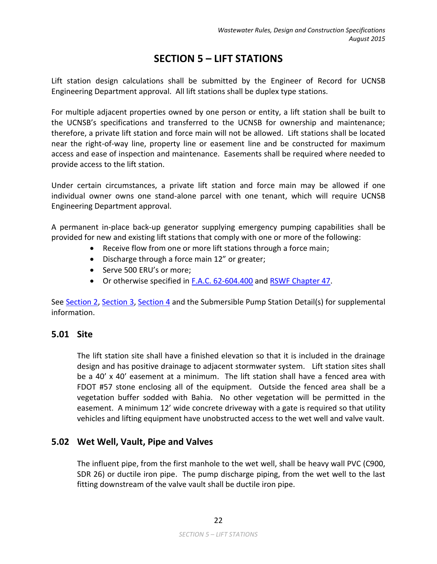# **SECTION 5 – LIFT STATIONS**

<span id="page-24-0"></span>Lift station design calculations shall be submitted by the Engineer of Record for UCNSB Engineering Department approval. All lift stations shall be duplex type stations.

For multiple adjacent properties owned by one person or entity, a lift station shall be built to the UCNSB's specifications and transferred to the UCNSB for ownership and maintenance; therefore, a private lift station and force main will not be allowed. Lift stations shall be located near the right-of-way line, property line or easement line and be constructed for maximum access and ease of inspection and maintenance. Easements shall be required where needed to provide access to the lift station.

Under certain circumstances, a private lift station and force main may be allowed if one individual owner owns one stand-alone parcel with one tenant, which will require UCNSB Engineering Department approval.

A permanent in-place back-up generator supplying emergency pumping capabilities shall be provided for new and existing lift stations that comply with one or more of the following:

- Receive flow from one or more lift stations through a force main;
- Discharge through a force main 12" or greater;
- Serve 500 ERU's or more;
- Or otherwise specified in [F.A.C. 62-604.400](https://www.flrules.org/gateway/ChapterHome.asp?Chapter=62-604) and RSWF [Chapter 47.](http://www.dep.state.fl.us/water/wastewater/docs/10statestandards_wastewater.pdf)

See [Section](#page-8-0) 2, [Section 3,](#page-12-0) [Section](#page-15-0) 4 and the Submersible Pump Station Detail(s) for supplemental information.

# <span id="page-24-1"></span>**5.01 Site**

The lift station site shall have a finished elevation so that it is included in the drainage design and has positive drainage to adjacent stormwater system. Lift station sites shall be a 40' x 40' easement at a minimum. The lift station shall have a fenced area with FDOT #57 stone enclosing all of the equipment. Outside the fenced area shall be a vegetation buffer sodded with Bahia. No other vegetation will be permitted in the easement. A minimum 12' wide concrete driveway with a gate is required so that utility vehicles and lifting equipment have unobstructed access to the wet well and valve vault.

# **5.02 Wet Well, Vault, Pipe and Valves**

<span id="page-24-2"></span>The influent pipe, from the first manhole to the wet well, shall be heavy wall PVC (C900, SDR 26) or ductile iron pipe. The pump discharge piping, from the wet well to the last fitting downstream of the valve vault shall be ductile iron pipe.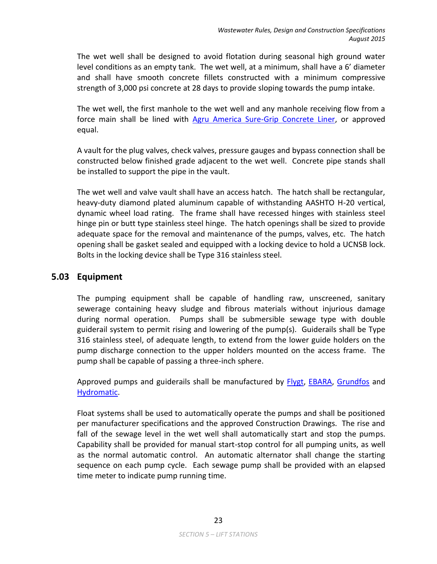The wet well shall be designed to avoid flotation during seasonal high ground water level conditions as an empty tank. The wet well, at a minimum, shall have a 6' diameter and shall have smooth concrete fillets constructed with a minimum compressive strength of 3,000 psi concrete at 28 days to provide sloping towards the pump intake.

The wet well, the first manhole to the wet well and any manhole receiving flow from a force main shall be lined with [Agru America Sure-Grip Concrete Liner,](http://agruamerica.com/products/concrete-protective-liners/sure-grip/) or approved equal.

A vault for the plug valves, check valves, pressure gauges and bypass connection shall be constructed below finished grade adjacent to the wet well. Concrete pipe stands shall be installed to support the pipe in the vault.

The wet well and valve vault shall have an access hatch. The hatch shall be rectangular, heavy-duty diamond plated aluminum capable of withstanding AASHTO H-20 vertical, dynamic wheel load rating. The frame shall have recessed hinges with stainless steel hinge pin or butt type stainless steel hinge. The hatch openings shall be sized to provide adequate space for the removal and maintenance of the pumps, valves, etc. The hatch opening shall be gasket sealed and equipped with a locking device to hold a UCNSB lock. Bolts in the locking device shall be Type 316 stainless steel.

# <span id="page-25-0"></span>**5.03 Equipment**

The pumping equipment shall be capable of handling raw, unscreened, sanitary sewerage containing heavy sludge and fibrous materials without injurious damage during normal operation. Pumps shall be submersible sewage type with double guiderail system to permit rising and lowering of the pump(s). Guiderails shall be Type 316 stainless steel, of adequate length, to extend from the lower guide holders on the pump discharge connection to the upper holders mounted on the access frame. The pump shall be capable of passing a three-inch sphere.

Approved pumps and guiderails shall be manufactured by [Flygt,](http://www.flygt.com/en-us/Pages/Flygt.aspx) [EBARA,](http://www.pumpsebara.com/) [Grundfos](http://us.grundfos.com/) and [Hydromatic.](http://www.hydromatic.com/)

Float systems shall be used to automatically operate the pumps and shall be positioned per manufacturer specifications and the approved Construction Drawings. The rise and fall of the sewage level in the wet well shall automatically start and stop the pumps. Capability shall be provided for manual start-stop control for all pumping units, as well as the normal automatic control. An automatic alternator shall change the starting sequence on each pump cycle. Each sewage pump shall be provided with an elapsed time meter to indicate pump running time.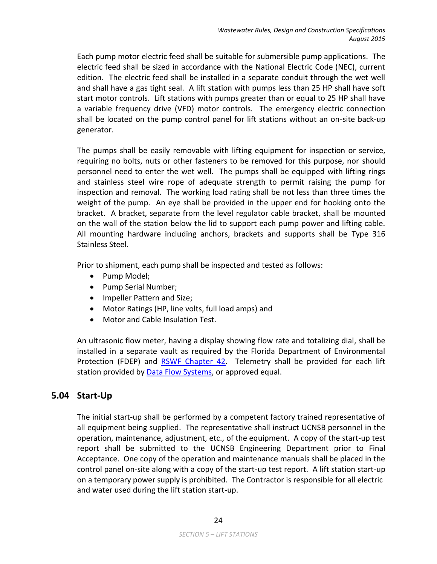Each pump motor electric feed shall be suitable for submersible pump applications. The electric feed shall be sized in accordance with the National Electric Code (NEC), current edition. The electric feed shall be installed in a separate conduit through the wet well and shall have a gas tight seal. A lift station with pumps less than 25 HP shall have soft start motor controls. Lift stations with pumps greater than or equal to 25 HP shall have a variable frequency drive (VFD) motor controls. The emergency electric connection shall be located on the pump control panel for lift stations without an on-site back-up generator.

The pumps shall be easily removable with lifting equipment for inspection or service, requiring no bolts, nuts or other fasteners to be removed for this purpose, nor should personnel need to enter the wet well. The pumps shall be equipped with lifting rings and stainless steel wire rope of adequate strength to permit raising the pump for inspection and removal. The working load rating shall be not less than three times the weight of the pump. An eye shall be provided in the upper end for hooking onto the bracket. A bracket, separate from the level regulator cable bracket, shall be mounted on the wall of the station below the lid to support each pump power and lifting cable. All mounting hardware including anchors, brackets and supports shall be Type 316 Stainless Steel.

Prior to shipment, each pump shall be inspected and tested as follows:

- Pump Model;
- Pump Serial Number;
- Impeller Pattern and Size;
- Motor Ratings (HP, line volts, full load amps) and
- Motor and Cable Insulation Test.

An ultrasonic flow meter, having a display showing flow rate and totalizing dial, shall be installed in a separate vault as required by the Florida Department of Environmental Protection (FDEP) and [RSWF Chapter 42.](http://www.dep.state.fl.us/water/wastewater/docs/10statestandards_wastewater.pdf) Telemetry shall be provided for each lift station provided by **Data Flow Systems**, or approved equal.

# <span id="page-26-0"></span>**5.04 Start-Up**

The initial start-up shall be performed by a competent factory trained representative of all equipment being supplied. The representative shall instruct UCNSB personnel in the operation, maintenance, adjustment, etc., of the equipment. A copy of the start-up test report shall be submitted to the UCNSB Engineering Department prior to Final Acceptance. One copy of the operation and maintenance manuals shall be placed in the control panel on-site along with a copy of the start-up test report. A lift station start-up on a temporary power supply is prohibited. The Contractor is responsible for all electric and water used during the lift station start-up.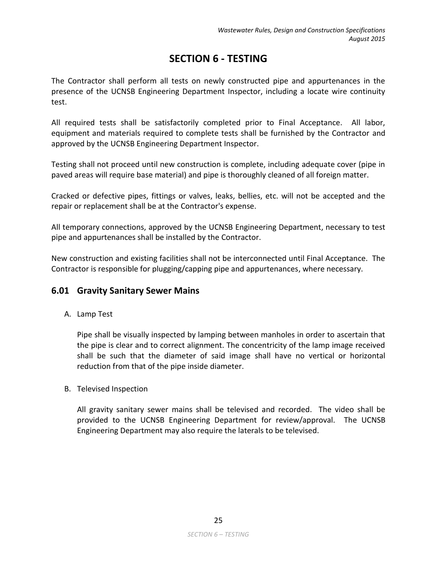# **SECTION 6 - TESTING**

<span id="page-27-0"></span>The Contractor shall perform all tests on newly constructed pipe and appurtenances in the presence of the UCNSB Engineering Department Inspector, including a locate wire continuity test.

All required tests shall be satisfactorily completed prior to Final Acceptance. All labor, equipment and materials required to complete tests shall be furnished by the Contractor and approved by the UCNSB Engineering Department Inspector.

Testing shall not proceed until new construction is complete, including adequate cover (pipe in paved areas will require base material) and pipe is thoroughly cleaned of all foreign matter.

Cracked or defective pipes, fittings or valves, leaks, bellies, etc. will not be accepted and the repair or replacement shall be at the Contractor's expense.

All temporary connections, approved by the UCNSB Engineering Department, necessary to test pipe and appurtenances shall be installed by the Contractor.

New construction and existing facilities shall not be interconnected until Final Acceptance. The Contractor is responsible for plugging/capping pipe and appurtenances, where necessary.

# <span id="page-27-1"></span>**6.01 Gravity Sanitary Sewer Mains**

A. Lamp Test

Pipe shall be visually inspected by lamping between manholes in order to ascertain that the pipe is clear and to correct alignment. The concentricity of the lamp image received shall be such that the diameter of said image shall have no vertical or horizontal reduction from that of the pipe inside diameter.

B. Televised Inspection

All gravity sanitary sewer mains shall be televised and recorded. The video shall be provided to the UCNSB Engineering Department for review/approval. The UCNSB Engineering Department may also require the laterals to be televised.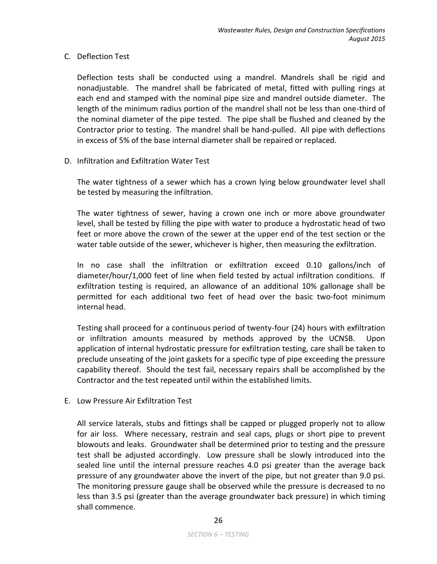## C. Deflection Test

Deflection tests shall be conducted using a mandrel. Mandrels shall be rigid and nonadjustable. The mandrel shall be fabricated of metal, fitted with pulling rings at each end and stamped with the nominal pipe size and mandrel outside diameter. The length of the minimum radius portion of the mandrel shall not be less than one-third of the nominal diameter of the pipe tested. The pipe shall be flushed and cleaned by the Contractor prior to testing. The mandrel shall be hand-pulled. All pipe with deflections in excess of 5% of the base internal diameter shall be repaired or replaced.

D. Infiltration and Exfiltration Water Test

The water tightness of a sewer which has a crown lying below groundwater level shall be tested by measuring the infiltration.

The water tightness of sewer, having a crown one inch or more above groundwater level, shall be tested by filling the pipe with water to produce a hydrostatic head of two feet or more above the crown of the sewer at the upper end of the test section or the water table outside of the sewer, whichever is higher, then measuring the exfiltration.

In no case shall the infiltration or exfiltration exceed 0.10 gallons/inch of diameter/hour/1,000 feet of line when field tested by actual infiltration conditions. If exfiltration testing is required, an allowance of an additional 10% gallonage shall be permitted for each additional two feet of head over the basic two-foot minimum internal head.

Testing shall proceed for a continuous period of twenty-four (24) hours with exfiltration or infiltration amounts measured by methods approved by the UCNSB. Upon application of internal hydrostatic pressure for exfiltration testing, care shall be taken to preclude unseating of the joint gaskets for a specific type of pipe exceeding the pressure capability thereof. Should the test fail, necessary repairs shall be accomplished by the Contractor and the test repeated until within the established limits.

E. Low Pressure Air Exfiltration Test

All service laterals, stubs and fittings shall be capped or plugged properly not to allow for air loss. Where necessary, restrain and seal caps, plugs or short pipe to prevent blowouts and leaks. Groundwater shall be determined prior to testing and the pressure test shall be adjusted accordingly. Low pressure shall be slowly introduced into the sealed line until the internal pressure reaches 4.0 psi greater than the average back pressure of any groundwater above the invert of the pipe, but not greater than 9.0 psi. The monitoring pressure gauge shall be observed while the pressure is decreased to no less than 3.5 psi (greater than the average groundwater back pressure) in which timing shall commence.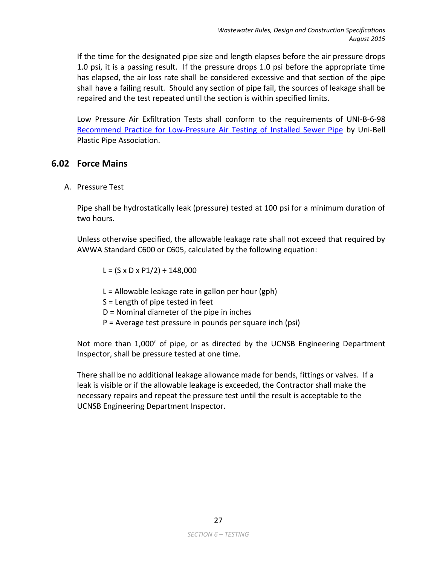If the time for the designated pipe size and length elapses before the air pressure drops 1.0 psi, it is a passing result. If the pressure drops 1.0 psi before the appropriate time has elapsed, the air loss rate shall be considered excessive and that section of the pipe shall have a failing result. Should any section of pipe fail, the sources of leakage shall be repaired and the test repeated until the section is within specified limits.

Low Pressure Air Exfiltration Tests shall conform to the requirements of UNI-B-6-98 [Recommend Practice for Low-Pressure Air Testing of Installed Sewer Pipe](http://www.uni-bell.org/resources/UNI-B-6-98.pdf) by Uni-Bell Plastic Pipe Association.

# <span id="page-29-0"></span>**6.02 Force Mains**

A. Pressure Test

Pipe shall be hydrostatically leak (pressure) tested at 100 psi for a minimum duration of two hours.

Unless otherwise specified, the allowable leakage rate shall not exceed that required by AWWA Standard C600 or C605, calculated by the following equation:

 $L = (S \times D \times P1/2) \div 148,000$ 

- $L =$  Allowable leakage rate in gallon per hour (gph)
- S = Length of pipe tested in feet
- D = Nominal diameter of the pipe in inches
- P = Average test pressure in pounds per square inch (psi)

Not more than 1,000' of pipe, or as directed by the UCNSB Engineering Department Inspector, shall be pressure tested at one time.

There shall be no additional leakage allowance made for bends, fittings or valves. If a leak is visible or if the allowable leakage is exceeded, the Contractor shall make the necessary repairs and repeat the pressure test until the result is acceptable to the UCNSB Engineering Department Inspector.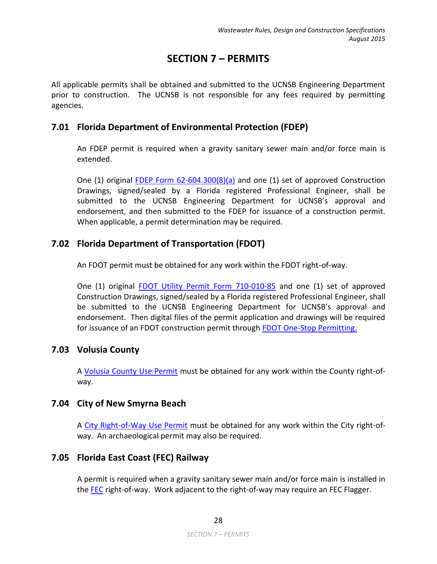# **SECTION 7 – PERMITS**

<span id="page-30-0"></span>All applicable permits shall be obtained and submitted to the UCNSB Engineering Department prior to construction. The UCNSB is not responsible for any fees required by permitting agencies.

# <span id="page-30-1"></span>**7.01 Florida Department of Environmental Protection (FDEP)**

An FDEP permit is required when a gravity sanitary sewer main and/or force main is extended.

One (1) original [FDEP Form 62-604.300\(8\)\(a\)](http://www.dep.state.fl.us/water/wastewater/dom/dw-forms.htm) and one (1) set of approved Construction Drawings, signed/sealed by a Florida registered Professional Engineer, shall be submitted to the UCNSB Engineering Department for UCNSB's approval and endorsement, and then submitted to the FDEP for issuance of a construction permit. When applicable, a permit determination may be required.

# <span id="page-30-2"></span>**7.02 Florida Department of Transportation (FDOT)**

An FDOT permit must be obtained for any work within the FDOT right-of-way.

One (1) original [FDOT Utility Permit Form 710-010-85](http://www2.dot.state.fl.us/proceduraldocuments/forms/informs/71001085.pdf) and one (1) set of approved Construction Drawings, signed/sealed by a Florida registered Professional Engineer, shall be submitted to the UCNSB Engineering Department for UCNSB's approval and endorsement. Then digital files of the permit application and drawings will be required for issuance of an FDOT construction permit through [FDOT One-Stop Permitting.](https://gis.dot.state.fl.us/OneStopPermitting)

# <span id="page-30-3"></span>**7.03 Volusia County**

A [Volusia County Use Permit](http://www.volusia.org/core/fileparse.php/4679/urlt/UsePermitApplication.pdf) must be obtained for any work within the County right-ofway.

# <span id="page-30-4"></span>**7.04 City of New Smyrna Beach**

A [City Right-of-Way Use Permit](http://www.cityofnsb.com/148/Engineering) must be obtained for any work within the City right-ofway. An archaeological permit may also be required.

# <span id="page-30-5"></span>**7.05 Florida East Coast (FEC) Railway**

A permit is required when a gravity sanitary sewer main and/or force main is installed in the [FEC](http://www.fecrwy.com/) right-of-way. Work adjacent to the right-of-way may require an FEC Flagger.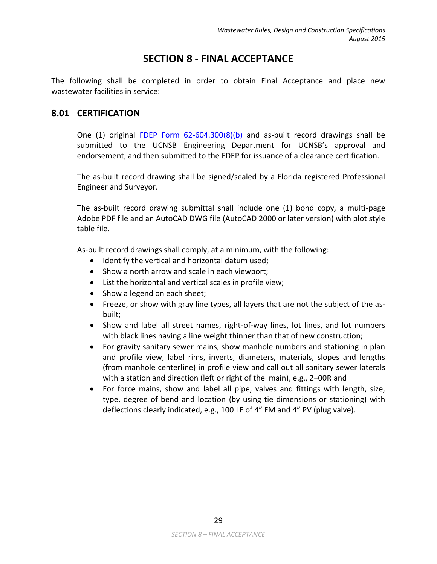# **SECTION 8 - FINAL ACCEPTANCE**

<span id="page-31-0"></span>The following shall be completed in order to obtain Final Acceptance and place new wastewater facilities in service:

# <span id="page-31-1"></span>**8.01 CERTIFICATION**

One (1) original FDEP Form  $62-604.300(8)(b)$  and as-built record drawings shall be submitted to the UCNSB Engineering Department for UCNSB's approval and endorsement, and then submitted to the FDEP for issuance of a clearance certification.

The as-built record drawing shall be signed/sealed by a Florida registered Professional Engineer and Surveyor.

The as-built record drawing submittal shall include one (1) bond copy, a multi-page Adobe PDF file and an AutoCAD DWG file (AutoCAD 2000 or later version) with plot style table file.

As-built record drawings shall comply, at a minimum, with the following:

- Identify the vertical and horizontal datum used;
- Show a north arrow and scale in each viewport;
- List the horizontal and vertical scales in profile view;
- Show a legend on each sheet;
- Freeze, or show with gray line types, all layers that are not the subject of the asbuilt;
- Show and label all street names, right-of-way lines, lot lines, and lot numbers with black lines having a line weight thinner than that of new construction;
- For gravity sanitary sewer mains, show manhole numbers and stationing in plan and profile view, label rims, inverts, diameters, materials, slopes and lengths (from manhole centerline) in profile view and call out all sanitary sewer laterals with a station and direction (left or right of the main), e.g., 2+00R and
- For force mains, show and label all pipe, valves and fittings with length, size, type, degree of bend and location (by using tie dimensions or stationing) with deflections clearly indicated, e.g., 100 LF of 4" FM and 4" PV (plug valve).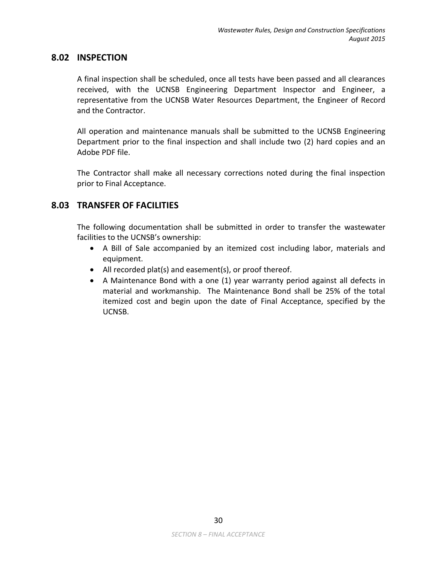## <span id="page-32-0"></span>**8.02 INSPECTION**

A final inspection shall be scheduled, once all tests have been passed and all clearances received, with the UCNSB Engineering Department Inspector and Engineer, a representative from the UCNSB Water Resources Department, the Engineer of Record and the Contractor.

All operation and maintenance manuals shall be submitted to the UCNSB Engineering Department prior to the final inspection and shall include two (2) hard copies and an Adobe PDF file.

The Contractor shall make all necessary corrections noted during the final inspection prior to Final Acceptance.

# <span id="page-32-1"></span>**8.03 TRANSFER OF FACILITIES**

The following documentation shall be submitted in order to transfer the wastewater facilities to the UCNSB's ownership:

- A Bill of Sale accompanied by an itemized cost including labor, materials and equipment.
- All recorded plat(s) and easement(s), or proof thereof.
- A Maintenance Bond with a one (1) year warranty period against all defects in material and workmanship. The Maintenance Bond shall be 25% of the total itemized cost and begin upon the date of Final Acceptance, specified by the UCNSB.